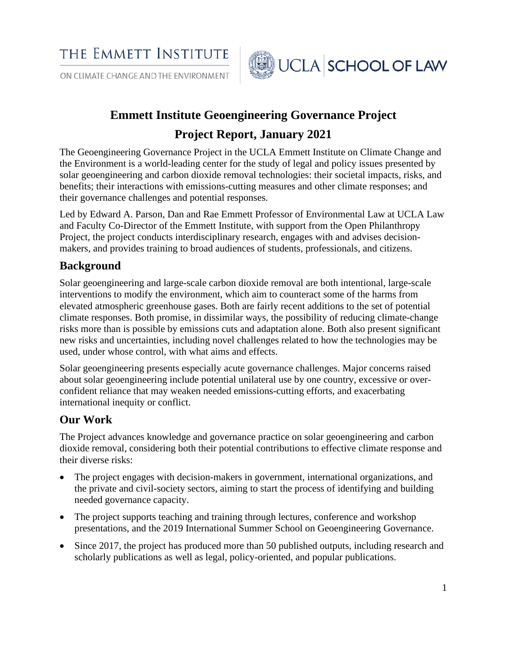THE EMMETT INSTITUTE

ON CLIMATE CHANGE AND THE ENVIRONMENT



# **Emmett Institute Geoengineering Governance Project**

# **Project Report, January 2021**

The Geoengineering Governance Project in the UCLA Emmett Institute on Climate Change and the Environment is a world-leading center for the study of legal and policy issues presented by solar geoengineering and carbon dioxide removal technologies: their societal impacts, risks, and benefits; their interactions with emissions-cutting measures and other climate responses; and their governance challenges and potential responses.

Led by Edward A. Parson, Dan and Rae Emmett Professor of Environmental Law at UCLA Law and Faculty Co-Director of the Emmett Institute, with support from the Open Philanthropy Project, the project conducts interdisciplinary research, engages with and advises decisionmakers, and provides training to broad audiences of students, professionals, and citizens.

# **Background**

Solar geoengineering and large-scale carbon dioxide removal are both intentional, large-scale interventions to modify the environment, which aim to counteract some of the harms from elevated atmospheric greenhouse gases. Both are fairly recent additions to the set of potential climate responses. Both promise, in dissimilar ways, the possibility of reducing climate-change risks more than is possible by emissions cuts and adaptation alone. Both also present significant new risks and uncertainties, including novel challenges related to how the technologies may be used, under whose control, with what aims and effects.

Solar geoengineering presents especially acute governance challenges. Major concerns raised about solar geoengineering include potential unilateral use by one country, excessive or overconfident reliance that may weaken needed emissions-cutting efforts, and exacerbating international inequity or conflict.

# **Our Work**

The Project advances knowledge and governance practice on solar geoengineering and carbon dioxide removal, considering both their potential contributions to effective climate response and their diverse risks:

- The project engages with decision-makers in government, international organizations, and the private and civil-society sectors, aiming to start the process of identifying and building needed governance capacity.
- The project supports teaching and training through lectures, conference and workshop presentations, and the 2019 International Summer School on Geoengineering Governance.
- Since 2017, the project has produced more than 50 published outputs, including research and scholarly publications as well as legal, policy-oriented, and popular publications.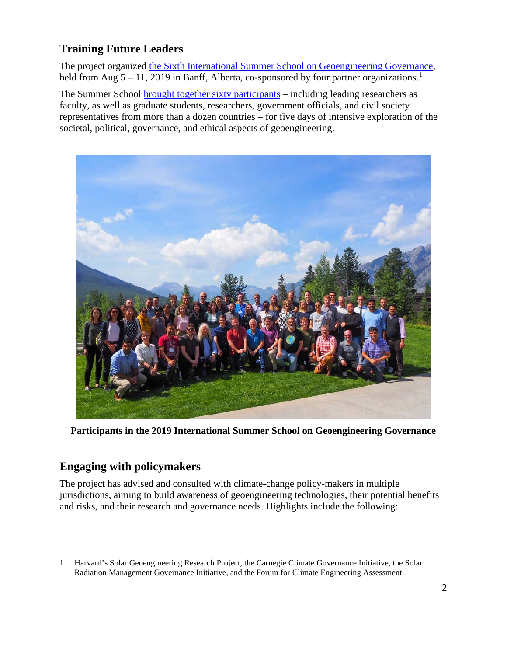# **Training Future Leaders**

The project organized [the Sixth International Summer School on Geoengineering Governance,](https://law.ucla.edu/academics/centers/emmett-institute-climate-change-environment/sixth-summer-school-geoengineering) held from Aug  $5 - 11$  $5 - 11$  $5 - 11$ , 2019 in Banff, Alberta, co-sponsored by four partner organizations.<sup>1</sup>

The Summer School [brought together sixty participants](https://legal-planet.org/2019/10/03/sixth-international-geoengineering-governance-summer-school-2019/) – including leading researchers as faculty, as well as graduate students, researchers, government officials, and civil society representatives from more than a dozen countries – for five days of intensive exploration of the societal, political, governance, and ethical aspects of geoengineering.



**Participants in the 2019 International Summer School on Geoengineering Governance**

# **Engaging with policymakers**

The project has advised and consulted with climate-change policy-makers in multiple jurisdictions, aiming to build awareness of geoengineering technologies, their potential benefits and risks, and their research and governance needs. Highlights include the following:

<span id="page-1-0"></span><sup>1</sup> Harvard's Solar Geoengineering Research Project, the Carnegie Climate Governance Initiative, the Solar Radiation Management Governance Initiative, and the Forum for Climate Engineering Assessment.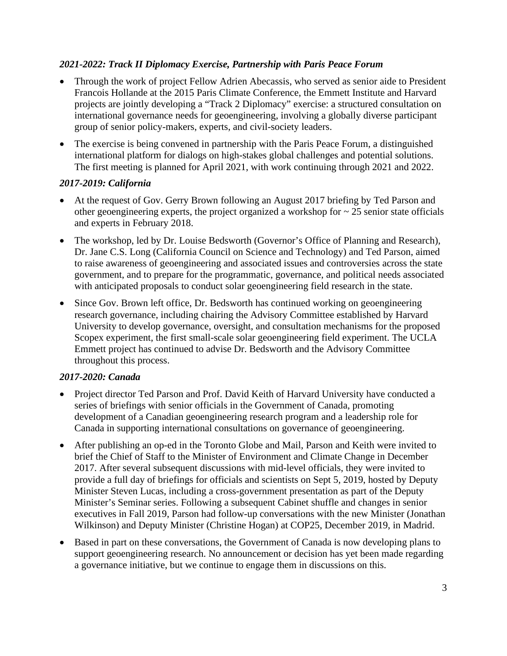### *2021-2022: Track II Diplomacy Exercise, Partnership with Paris Peace Forum*

- Through the work of project Fellow Adrien Abecassis, who served as senior aide to President Francois Hollande at the 2015 Paris Climate Conference, the Emmett Institute and Harvard projects are jointly developing a "Track 2 Diplomacy" exercise: a structured consultation on international governance needs for geoengineering, involving a globally diverse participant group of senior policy-makers, experts, and civil-society leaders.
- The exercise is being convened in partnership with the [Paris Peace Forum,](https://parispeaceforum.org/) a distinguished international platform for dialogs on high-stakes global challenges and potential solutions. The first meeting is planned for April 2021, with work continuing through 2021 and 2022.

#### *2017-2019: California*

- At the request of Gov. Gerry Brown following an August 2017 briefing by Ted Parson and other geoengineering experts, the project organized a workshop for  $\sim$  25 senior state officials and experts in February 2018.
- The workshop, led by Dr. Louise Bedsworth (Governor's Office of Planning and Research), Dr. Jane C.S. Long (California Council on Science and Technology) and Ted Parson, aimed to raise awareness of geoengineering and associated issues and controversies across the state government, and to prepare for the programmatic, governance, and political needs associated with anticipated proposals to conduct solar geoengineering field research in the state.
- Since Gov. Brown left office, Dr. Bedsworth has continued working on geoengineering research governance, including chairing the Advisory Committee established by Harvard University to develop governance, oversight, and consultation mechanisms for the proposed Scopex experiment, the first small-scale solar geoengineering field experiment. The UCLA Emmett project has continued to advise Dr. Bedsworth and the Advisory Committee throughout this process.

#### *2017-2020: Canada*

- Project director Ted Parson and Prof. David Keith of Harvard University have conducted a series of briefings with senior officials in the Government of Canada, promoting development of a Canadian geoengineering research program and a leadership role for Canada in supporting international consultations on governance of geoengineering.
- After publishing an op-ed in the Toronto Globe and Mail, Parson and Keith were invited to brief the Chief of Staff to the Minister of Environment and Climate Change in December 2017. After several subsequent discussions with mid-level officials, they were invited to provide a full day of briefings for officials and scientists on Sept 5, 2019, hosted by Deputy Minister Steven Lucas, including a cross-government presentation as part of the Deputy Minister's Seminar series. Following a subsequent Cabinet shuffle and changes in senior executives in Fall 2019, Parson had follow-up conversations with the new Minister (Jonathan Wilkinson) and Deputy Minister (Christine Hogan) at COP25, December 2019, in Madrid.
- Based in part on these conversations, the Government of Canada is now developing plans to support geoengineering research. No announcement or decision has yet been made regarding a governance initiative, but we continue to engage them in discussions on this.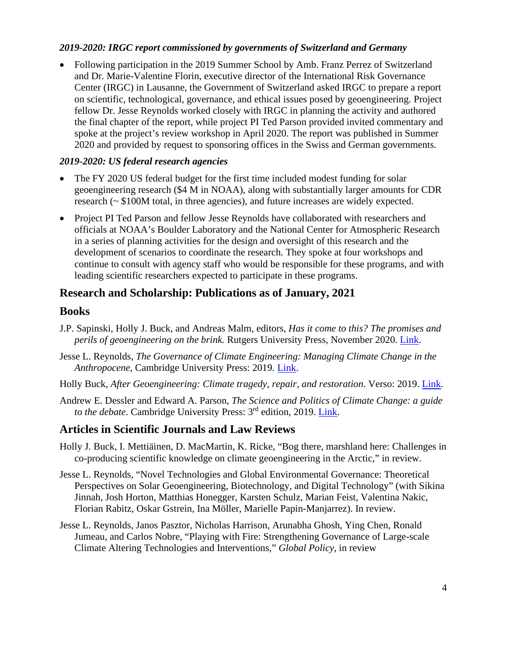#### *2019-2020: IRGC report commissioned by governments of Switzerland and Germany*

• Following participation in the 2019 Summer School by Amb. Franz Perrez of Switzerland and Dr. Marie-Valentine Florin, executive director of the International Risk Governance Center (IRGC) in Lausanne, the Government of Switzerland asked IRGC to prepare a report on scientific, technological, governance, and ethical issues posed by geoengineering. Project fellow Dr. Jesse Reynolds worked closely with IRGC in planning the activity and authored the final chapter of the report, while project PI Ted Parson provided invited commentary and spoke at the project's review workshop in April 2020. The report was published in Summer 2020 and provided by request to sponsoring offices in the Swiss and German governments.

#### *2019-2020: US federal research agencies*

- The FY 2020 US federal budget for the first time included modest funding for solar geoengineering research (\$4 M in NOAA), along with substantially larger amounts for CDR research (~ \$100M total, in three agencies), and future increases are widely expected.
- Project PI Ted Parson and fellow Jesse Reynolds have collaborated with researchers and officials at NOAA's Boulder Laboratory and the National Center for Atmospheric Research in a series of planning activities for the design and oversight of this research and the development of scenarios to coordinate the research. They spoke at four workshops and continue to consult with agency staff who would be responsible for these programs, and with leading scientific researchers expected to participate in these programs.

## **Research and Scholarship: Publications as of January, 2021**

### **Books**

- J.P. Sapinski, Holly J. Buck, and Andreas Malm, editors, *Has it come to this? The promises and perils of geoengineering on the brink.* Rutgers University Press, November 2020. [Link.](https://www.rutgersuniversitypress.org/has-it-come-to-this/9781978809352?_escaped_fragment_=)
- Jesse L. Reynolds, *The Governance of Climate Engineering: Managing Climate Change in the Anthropocene*, Cambridge University Press: 2019. [Link.](https://www.cambridge.org/core/books/governance-of-solar-geoengineering/E2822112609FF5697EC43F09A93D37AE)
- Holly Buck, *After Geoengineering: Climate tragedy, repair, and restoration*. Verso: 2019. [Link.](https://www.versobooks.com/books/3091-after-geoengineering)
- Andrew E. Dessler and Edward A. Parson, *The Science and Politics of Climate Change: a guide to the debate*. Cambridge University Press: 3rd edition, 2019. [Link.](https://www.cambridge.org/highereducation/books/science-and-politics-of-global-climate-change/197C1C55A3966B01BC35862BACAF3982#9781316832158%23C5)

# **Articles in Scientific Journals and Law Reviews**

- Holly J. Buck, I. Mettiäinen, D. MacMartin, K. Ricke, "Bog there, marshland here: Challenges in co-producing scientific knowledge on climate geoengineering in the Arctic," in review.
- Jesse L. Reynolds, "Novel Technologies and Global Environmental Governance: Theoretical Perspectives on Solar Geoengineering, Biotechnology, and Digital Technology" (with Sikina Jinnah, Josh Horton, Matthias Honegger, Karsten Schulz, Marian Feist, Valentina Nakic, Florian Rabitz, Oskar Gstrein, Ina Möller, Marielle Papin-Manjarrez). In review.
- Jesse L. Reynolds, Janos Pasztor, Nicholas Harrison, Arunabha Ghosh, Ying Chen, Ronald Jumeau, and Carlos Nobre, "Playing with Fire: Strengthening Governance of Large-scale Climate Altering Technologies and Interventions," *Global Policy*, in review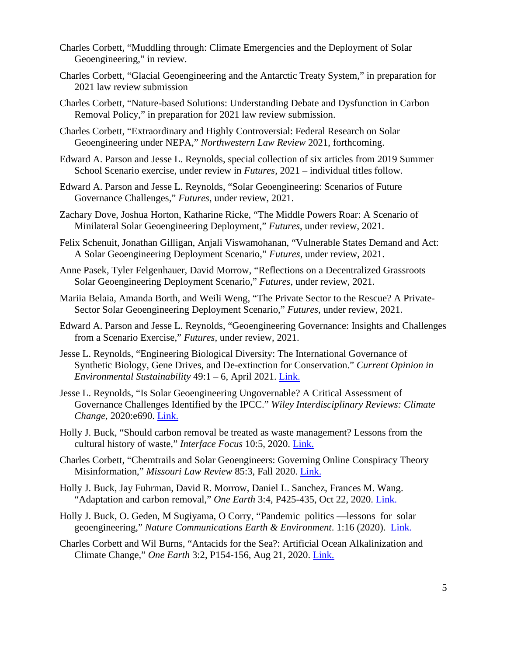- Charles Corbett, "Muddling through: Climate Emergencies and the Deployment of Solar Geoengineering," in review.
- Charles Corbett, "Glacial Geoengineering and the Antarctic Treaty System," in preparation for 2021 law review submission
- Charles Corbett, "Nature-based Solutions: Understanding Debate and Dysfunction in Carbon Removal Policy," in preparation for 2021 law review submission.
- Charles Corbett, "Extraordinary and Highly Controversial: Federal Research on Solar Geoengineering under NEPA," *Northwestern Law Review* 2021, forthcoming.
- Edward A. Parson and Jesse L. Reynolds, special collection of six articles from 2019 Summer School Scenario exercise, under review in *Futures*, 2021 – individual titles follow.
- Edward A. Parson and Jesse L. Reynolds, "Solar Geoengineering: Scenarios of Future Governance Challenges," *Futures*, under review, 2021.
- Zachary Dove, Joshua Horton, Katharine Ricke, "The Middle Powers Roar: A Scenario of Minilateral Solar Geoengineering Deployment," *Futures*, under review, 2021.
- Felix Schenuit, Jonathan Gilligan, Anjali Viswamohanan, "Vulnerable States Demand and Act: A Solar Geoengineering Deployment Scenario," *Futures*, under review, 2021.
- Anne Pasek, Tyler Felgenhauer, David Morrow, "Reflections on a Decentralized Grassroots Solar Geoengineering Deployment Scenario," *Futures*, under review, 2021.
- Mariia Belaia, Amanda Borth, and Weili Weng, "The Private Sector to the Rescue? A Private-Sector Solar Geoengineering Deployment Scenario," *Futures*, under review, 2021.
- Edward A. Parson and Jesse L. Reynolds, "Geoengineering Governance: Insights and Challenges from a Scenario Exercise," *Futures*, under review, 2021.
- Jesse L. Reynolds, "Engineering Biological Diversity: The International Governance of Synthetic Biology, Gene Drives, and De-extinction for Conservation." *Current Opinion in Environmental Sustainability* 49:1 – 6, April 2021. [Link.](https://doi.org/10.1016/j.cosust.2020.10.001)
- Jesse L. Reynolds, "Is Solar Geoengineering Ungovernable? A Critical Assessment of Governance Challenges Identified by the IPCC." *Wiley Interdisciplinary Reviews: Climate Change*, 2020:e690. [Link.](https://onlinelibrary.wiley.com/doi/10.1002/wcc.690)
- Holly J. Buck, "Should carbon removal be treated as waste management? Lessons from the cultural history of waste," *Interface Focus* 10:5, 2020. [Link.](https://royalsocietypublishing.org/doi/10.1098/rsfs.2020.0010)
- Charles Corbett, "Chemtrails and Solar Geoengineers: Governing Online Conspiracy Theory Misinformation," *Missouri Law Review* 85:3, Fall 2020. [Link.](https://scholarship.law.missouri.edu/mlr/all_issues.html)
- Holly J. Buck, Jay Fuhrman, David R. Morrow, Daniel L. Sanchez, Frances M. Wang. "Adaptation and carbon removal," *One Earth* 3:4, P425-435, Oct 22, 2020. [Link.](https://www.cell.com/one-earth/fulltext/S2590-3322(20)30477-2)
- Holly J. Buck, O. Geden, M Sugiyama, O Corry, "Pandemic politics —lessons for solar geoengineering," *Nature Communications Earth & Environment*. 1:16 (2020). [Link.](https://www.nature.com/articles/s43247-020-00018-1.pdf)
- Charles Corbett and Wil Burns, "Antacids for the Sea?: Artificial Ocean Alkalinization and Climate Change," *One Earth* 3:2, P154-156, Aug 21, 2020. [Link.](https://www.cell.com/one-earth/fulltext/S2590-3322(20)30360-2)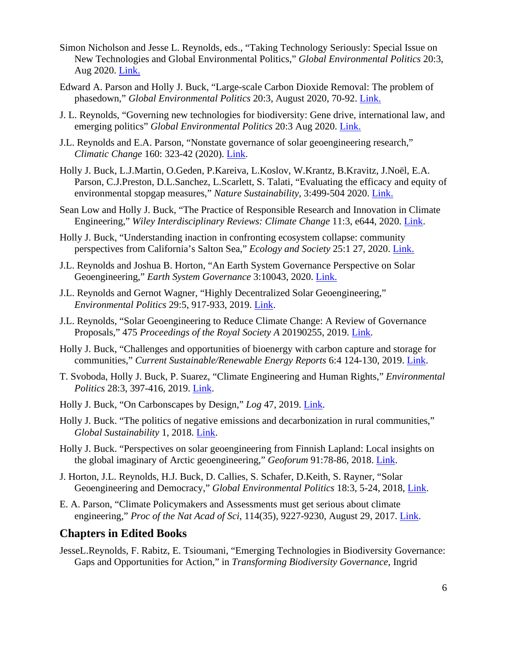- Simon Nicholson and Jesse L. Reynolds, eds., "Taking Technology Seriously: Special Issue on New Technologies and Global Environmental Politics," *Global Environmental Politics* 20:3, Aug 2020. [Link.](https://www.mitpressjournals.org/toc/glep/20/3)
- Edward A. Parson and Holly J. Buck, "Large-scale Carbon Dioxide Removal: The problem of phasedown," *Global Environmental Politics* 20:3, August 2020, 70-92. [Link.](https://www.mitpressjournals.org/doi/full/10.1162/glep_a_00575)
- J. L. Reynolds, "Governing new technologies for biodiversity: Gene drive, international law, and emerging politics" *Global Environmental Politics* 20:3 Aug 2020. [Link.](https://www.mitpressjournals.org/doi/full/10.1162/glep_a_00567)
- J.L. Reynolds and E.A. Parson, "Nonstate governance of solar geoengineering research," *Climatic Change* 160: 323-42 (2020). [Link.](https://link.springer.com/article/10.1007/s10584-020-02702-9)
- Holly J. Buck, L.J.Martin, O.Geden, P.Kareiva, L.Koslov, W.Krantz, B.Kravitz, J.Noël, E.A. Parson, C.J.Preston, D.L.Sanchez, L.Scarlett, S. Talati, "Evaluating the efficacy and equity of environmental stopgap measures," *Nature Sustainability*, 3:499-504 2020. [Link.](https://www.nature.com/articles/s41893-020-0497-6)
- Sean Low and Holly J. Buck, "The Practice of Responsible Research and Innovation in Climate Engineering," *Wiley Interdisciplinary Reviews: Climate Change* 11:3, e644, 2020. [Link.](https://onlinelibrary.wiley.com/doi/pdf/10.1002/wcc.644)
- Holly J. Buck, "Understanding inaction in confronting ecosystem collapse: community perspectives from California's Salton Sea," *Ecology and Society* 25:1 27, 2020. [Link.](https://www.ecologyandsociety.org/vol25/iss1/art27/)
- J.L. Reynolds and Joshua B. Horton, "An Earth System Governance Perspective on Solar Geoengineering," *Earth System Governance* 3:10043, 2020. [Link.](https://www.sciencedirect.com/science/article/pii/S2589811620300021)
- J.L. Reynolds and Gernot Wagner, "Highly Decentralized Solar Geoengineering," *Environmental Politics* 29:5, 917-933, 2019. [Link.](https://www.tandfonline.com/doi/full/10.1080/09644016.2019.1648169)
- J.L. Reynolds, "Solar Geoengineering to Reduce Climate Change: A Review of Governance Proposals," 475 *Proceedings of the Royal Society A* 20190255, 2019. [Link.](https://royalsocietypublishing.org/doi/full/10.1098/rspa.2019.0255)
- Holly J. Buck, "Challenges and opportunities of bioenergy with carbon capture and storage for communities," *Current Sustainable/Renewable Energy Reports* 6:4 124-130, 2019. [Link.](https://link.springer.com/article/10.1007/s40518-019-00139-y)
- T. Svoboda, Holly J. Buck, P. Suarez, "Climate Engineering and Human Rights," *Environmental Politics* 28:3, 397-416, 2019. [Link.](https://www.tandfonline.com/doi/full/10.1080/09644016.2018.1448575)
- Holly J. Buck, "On Carbonscapes by Design," *Log* 47, 2019. [Link.](https://www.anycorp.com/store/log47)
- Holly J. Buck. "The politics of negative emissions and decarbonization in rural communities," *Global Sustainability* 1, 2018. [Link.](https://www.cambridge.org/core/journals/global-sustainability/article/politics-of-negative-emissions-technologies-and-decarbonization-in-rural-communities/1FC9DEF689E50DF8C6C8363DFB2C85AE)
- Holly J. Buck. "Perspectives on solar geoengineering from Finnish Lapland: Local insights on the global imaginary of Arctic geoengineering," *Geoforum* 91:78-86, 2018. [Link.](https://id.elsevier.com/as/authorization.oauth2?platSite=SD%2Fscience&scope=openid%20email%20profile%20els_auth_info%20urn%3Acom%3Aelsevier%3Aidp%3Apolicy%3Aproduct%3Ainst_assoc&response_type=code&redirect_uri=https%3A%2F%2Fwww.sciencedirect.com%2Fuser%2Fidentity%2Flanding&authType=SINGLE_SIGN_IN&prompt=login&client_id=SDFE-v3&state=retryCounter%3D0%26csrfToken%3D27b70b5c-53cc-408c-8904-917f4c409ec2%26idpPolicy%3Durn%253Acom%253Aelsevier%253Aidp%253Apolicy%253Aproduct%253Ainst_assoc%26returnUrl%3D%252Fscience%252Farticle%252Fpii%252FS0016718518300551%26uuid%3D9d6038dd-6fdc-4be1-a69b-d3dc14c6f957%26prompt%3Dlogin%26cid%3Darp-ebbecc64-39c2-4ca6-b280-485d1ae08adf)
- J. Horton, J.L. Reynolds, H.J. Buck, D. Callies, S. Schafer, D.Keith, S. Rayner, "Solar Geoengineering and Democracy," *Global Environmental Politics* 18:3, 5-24, 2018, [Link.](https://www.mitpressjournals.org/doi/full/10.1162/glep_a_00466)
- E. A. Parson, "Climate Policymakers and Assessments must get serious about climate engineering," *Proc of the Nat Acad of Sci*, 114(35), 9227-9230, August 29, 2017. [Link.](https://www.pnas.org/content/114/35/9227)

#### **Chapters in Edited Books**

JesseL.Reynolds, F. Rabitz, E. Tsioumani, "Emerging Technologies in Biodiversity Governance: Gaps and Opportunities for Action," in *Transforming Biodiversity Governance*, Ingrid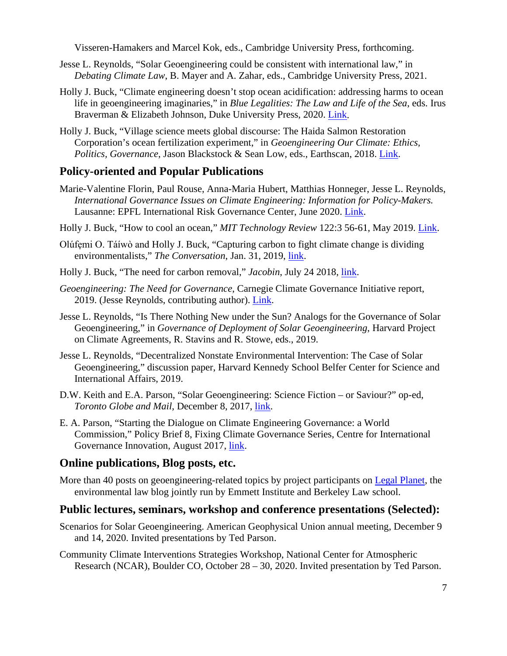Visseren-Hamakers and Marcel Kok, eds., Cambridge University Press, forthcoming.

- Jesse L. Reynolds, "Solar Geoengineering could be consistent with international law," in *Debating Climate Law*, B. Mayer and A. Zahar, eds., Cambridge University Press, 2021.
- Holly J. Buck, "Climate engineering doesn't stop ocean acidification: addressing harms to ocean life in geoengineering imaginaries," in *Blue Legalities: The Law and Life of the Sea*, eds. Irus Braverman & Elizabeth Johnson, Duke University Press, 2020. [Link.](https://www.dukeupress.edu/blue-legalities)
- Holly J. Buck, "Village science meets global discourse: The Haida Salmon Restoration Corporation's ocean fertilization experiment," in *Geoengineering Our Climate: Ethics, Politics, Governance*, Jason Blackstock & Sean Low, eds., Earthscan, 2018. [Link.](https://www.routledge.com/Geoengineering-our-Climate-Ethics-Politics-and-Governance/Blackstock-Low/p/book/9781849713740)

## **Policy-oriented and Popular Publications**

- Marie-Valentine Florin, Paul Rouse, Anna-Maria Hubert, Matthias Honneger, Jesse L. Reynolds, *International Governance Issues on Climate Engineering: Information for Policy-Makers.* Lausanne: EPFL International Risk Governance Center, June 2020. [Link.](https://www.epfl.ch/research/domains/irgc/climate-engineering/)
- Holly J. Buck, "How to cool an ocean," *MIT Technology Review* 122:3 56-61, May 2019. [Link.](https://www.technologyreview.com/2019/04/23/136001/the-desperate-race-to-cool-the-ocean-before-its-too-late/)
- Olúfẹmi O. Táíwò and Holly J. Buck, "Capturing carbon to fight climate change is dividing environmentalists," *The Conversation*, Jan. 31, 2019, [link.](https://theconversation.com/capturing-carbon-to-fight-climate-change-is-dividing-environmentalists-110142)
- Holly J. Buck, "The need for carbon removal," *Jacobin*, July 24 2018, [link.](https://jacobinmag.com/2018/07/carbon-removal-geoengineering-global-warming)
- *Geoengineering: The Need for Governance*, Carnegie Climate Governance Initiative report, 2019. (Jesse Reynolds, contributing author). [Link.](https://www.c2g2.net/the-need-for-governance/)
- Jesse L. Reynolds, "Is There Nothing New under the Sun? Analogs for the Governance of Solar Geoengineering," in *Governance of Deployment of Solar Geoengineering*, Harvard Project on Climate Agreements, R. Stavins and R. Stowe, eds., 2019.
- Jesse L. Reynolds, "Decentralized Nonstate Environmental Intervention: The Case of Solar Geoengineering," discussion paper, Harvard Kennedy School Belfer Center for Science and International Affairs, 2019.
- D.W. Keith and E.A. Parson, "Solar Geoengineering: Science Fiction or Saviour?" op-ed, *Toronto Globe and Mail*, December 8, 2017, [link.](https://geoengineering.environment.harvard.edu/publications/solar-geoengineering-science-fiction-%E2%80%93-or-saviour)
- E. A. Parson, ["Starting the Dialogue on Climate Engineering Governance: a World](https://www.cigionline.org/publications/starting-dialogue-climate-engineering-governance-world-commission)  [Commission,"](https://www.cigionline.org/publications/starting-dialogue-climate-engineering-governance-world-commission) Policy Brief 8, Fixing Climate Governance Series, Centre for International Governance Innovation, August 2017, *link*.

## **Online publications, Blog posts, etc.**

More than 40 posts on geoengineering-related topics by project participants on [Legal Planet,](https://legal-planet.org/) the environmental law blog jointly run by Emmett Institute and Berkeley Law school.

#### **Public lectures, seminars, workshop and conference presentations (Selected):**

- Scenarios for Solar Geoengineering. American Geophysical Union annual meeting, December 9 and 14, 2020. Invited presentations by Ted Parson.
- Community Climate Interventions Strategies Workshop, National Center for Atmospheric Research (NCAR), Boulder CO, October 28 – 30, 2020. Invited presentation by Ted Parson.